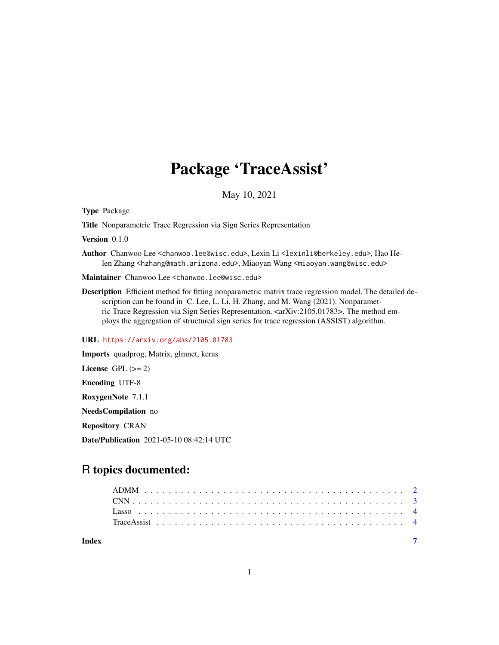## Package 'TraceAssist'

May 10, 2021

Type Package

Title Nonparametric Trace Regression via Sign Series Representation

Version 0.1.0

Author Chanwoo Lee <chanwoo.lee@wisc.edu>, Lexin Li <lexinli@berkeley.edu>, Hao Helen Zhang <hzhang@math.arizona.edu>, Miaoyan Wang <miaoyan.wang@wisc.edu>

Maintainer Chanwoo Lee <chanwoo.lee@wisc.edu>

Description Efficient method for fitting nonparametric matrix trace regression model. The detailed description can be found in C. Lee, L. Li, H. Zhang, and M. Wang (2021). Nonparametric Trace Regression via Sign Series Representation. <arXiv:2105.01783>. The method employs the aggregation of structured sign series for trace regression (ASSIST) algorithm.

URL <https://arxiv.org/abs/2105.01783>

Imports quadprog, Matrix, glmnet, keras License GPL  $(>= 2)$ Encoding UTF-8 RoxygenNote 7.1.1 NeedsCompilation no Repository CRAN Date/Publication 2021-05-10 08:42:14 UTC

### R topics documented:

| Index |  |  |  |  |  |  |  |  |  |  |  |  |  |  |  |  |  |  |  |  |
|-------|--|--|--|--|--|--|--|--|--|--|--|--|--|--|--|--|--|--|--|--|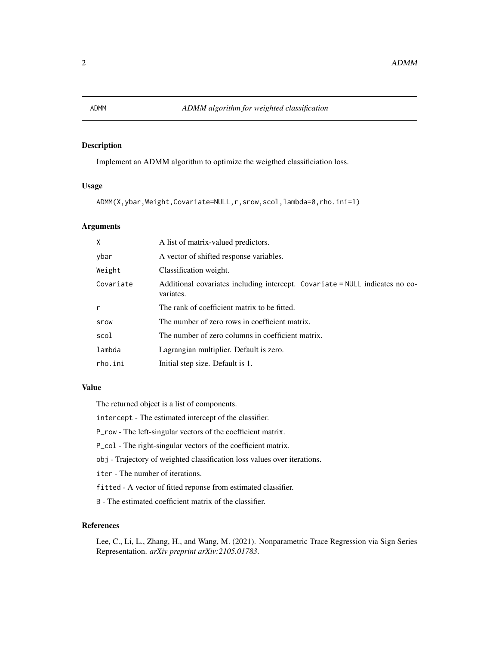#### <span id="page-1-0"></span>Description

Implement an ADMM algorithm to optimize the weigthed classificiation loss.

#### Usage

```
ADMM(X,ybar,Weight,Covariate=NULL,r,srow,scol,lambda=0,rho.ini=1)
```
#### Arguments

| X         | A list of matrix-valued predictors.                                                       |  |  |  |  |  |  |
|-----------|-------------------------------------------------------------------------------------------|--|--|--|--|--|--|
| ybar      | A vector of shifted response variables.                                                   |  |  |  |  |  |  |
| Weight    | Classification weight.                                                                    |  |  |  |  |  |  |
| Covariate | Additional covariates including intercept. Covariate = NULL indicates no co-<br>variates. |  |  |  |  |  |  |
| r         | The rank of coefficient matrix to be fitted.                                              |  |  |  |  |  |  |
| srow      | The number of zero rows in coefficient matrix.                                            |  |  |  |  |  |  |
| scol      | The number of zero columns in coefficient matrix.                                         |  |  |  |  |  |  |
| lambda    | Lagrangian multiplier. Default is zero.                                                   |  |  |  |  |  |  |
| rho.ini   | Initial step size. Default is 1.                                                          |  |  |  |  |  |  |

#### Value

The returned object is a list of components.

intercept - The estimated intercept of the classifier.

P\_row - The left-singular vectors of the coefficient matrix.

P\_col - The right-singular vectors of the coefficient matrix.

obj - Trajectory of weighted classification loss values over iterations.

iter - The number of iterations.

fitted - A vector of fitted reponse from estimated classifier.

B - The estimated coefficient matrix of the classifier.

#### References

Lee, C., Li, L., Zhang, H., and Wang, M. (2021). Nonparametric Trace Regression via Sign Series Representation. *arXiv preprint arXiv:2105.01783*.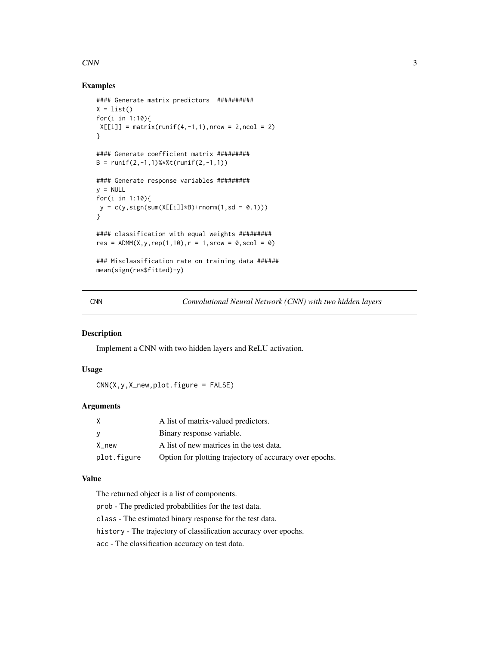#### <span id="page-2-0"></span> $CNN$  3

#### Examples

```
#### Generate matrix predictors ##########
X = list()for(i in 1:10){
X[[i]] = matrix(runif(4, -1, 1), nrow = 2, ncol = 2)}
#### Generate coefficient matrix #########
B = runif(2,-1,1)%*%t(runif(2,-1,1))
#### Generate response variables #########
y = NULLfor(i in 1:10){
y = c(y, sign(sum(X[[i]]*B) + rnorm(1, sd = 0.1)))}
#### classification with equal weights #########
res = ADMM(X, y, rep(1, 10), r = 1, srow = 0, scol = 0)
### Misclassification rate on training data ######
mean(sign(res$fitted)-y)
```
CNN *Convolutional Neural Network (CNN) with two hidden layers*

#### Description

Implement a CNN with two hidden layers and ReLU activation.

#### Usage

 $CNN(X, y, X_new, plot. figure = FALSE)$ 

#### Arguments

| X           | A list of matrix-valued predictors.                     |
|-------------|---------------------------------------------------------|
| - V         | Binary response variable.                               |
| X new       | A list of new matrices in the test data.                |
| plot.figure | Option for plotting trajectory of accuracy over epochs. |

#### Value

The returned object is a list of components.

prob - The predicted probabilities for the test data.

- class The estimated binary response for the test data.
- history The trajectory of classification accuracy over epochs.

acc - The classification accuracy on test data.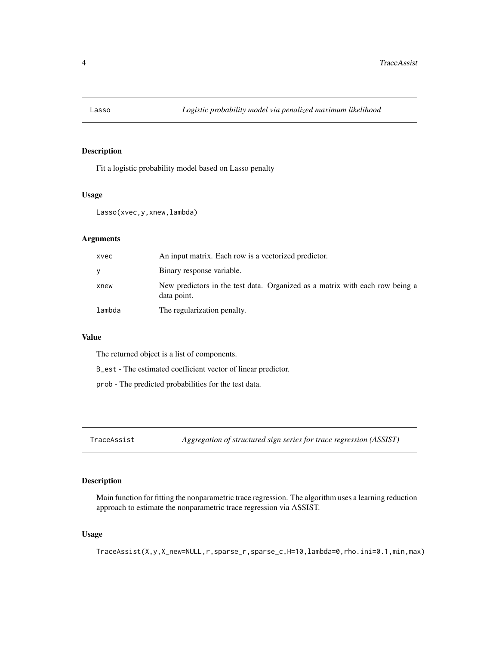<span id="page-3-0"></span>

#### Description

Fit a logistic probability model based on Lasso penalty

#### Usage

```
Lasso(xvec,y,xnew,lambda)
```
#### Arguments

| xvec   | An input matrix. Each row is a vectorized predictor.                                        |
|--------|---------------------------------------------------------------------------------------------|
| V      | Binary response variable.                                                                   |
| xnew   | New predictors in the test data. Organized as a matrix with each row being a<br>data point. |
| lambda | The regularization penalty.                                                                 |

#### Value

The returned object is a list of components.

B\_est - The estimated coefficient vector of linear predictor.

prob - The predicted probabilities for the test data.

TraceAssist *Aggregation of structured sign series for trace regression (ASSIST)*

#### Description

Main function for fitting the nonparametric trace regression. The algorithm uses a learning reduction approach to estimate the nonparametric trace regression via ASSIST.

#### Usage

TraceAssist(X,y,X\_new=NULL,r,sparse\_r,sparse\_c,H=10,lambda=0,rho.ini=0.1,min,max)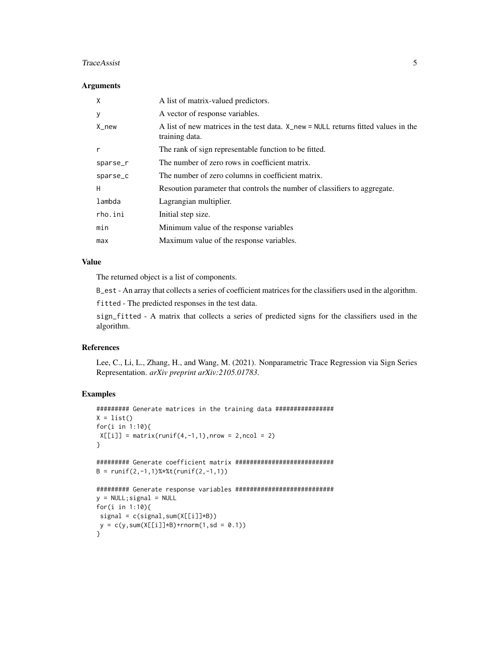#### TraceAssist 5

#### **Arguments**

| X        | A list of matrix-valued predictors.                                                                      |
|----------|----------------------------------------------------------------------------------------------------------|
| У        | A vector of response variables.                                                                          |
| $X_new$  | A list of new matrices in the test data. $X_{new} = NULL$ returns fitted values in the<br>training data. |
| r        | The rank of sign representable function to be fitted.                                                    |
| sparse_r | The number of zero rows in coefficient matrix.                                                           |
| sparse_c | The number of zero columns in coefficient matrix.                                                        |
| H        | Resoution parameter that controls the number of classifiers to aggregate.                                |
| lambda   | Lagrangian multiplier.                                                                                   |
| rho.ini  | Initial step size.                                                                                       |
| min      | Minimum value of the response variables                                                                  |
| max      | Maximum value of the response variables.                                                                 |

#### Value

The returned object is a list of components.

B\_est - An array that collects a series of coefficient matrices for the classifiers used in the algorithm.

fitted - The predicted responses in the test data.

sign\_fitted - A matrix that collects a series of predicted signs for the classifiers used in the algorithm.

#### References

Lee, C., Li, L., Zhang, H., and Wang, M. (2021). Nonparametric Trace Regression via Sign Series Representation. *arXiv preprint arXiv:2105.01783*.

#### Examples

```
######### Generate matrices in the training data ################
X = list()for(i in 1:10){
X[[i]] = matrix(runif(4, -1, 1), nrow = 2, ncol = 2)}
######### Generate coefficient matrix ###########################
B = runif(2,-1,1)%*%t(runif(2,-1,1))
######### Generate response variables ###########################
y = NULL; signal = NULL
for(i in 1:10){
signal = c(signal,sum(X[[i]]*B))
y = c(y, sum(X[[i]]*B) + rnorm(1, sd = 0.1))}
```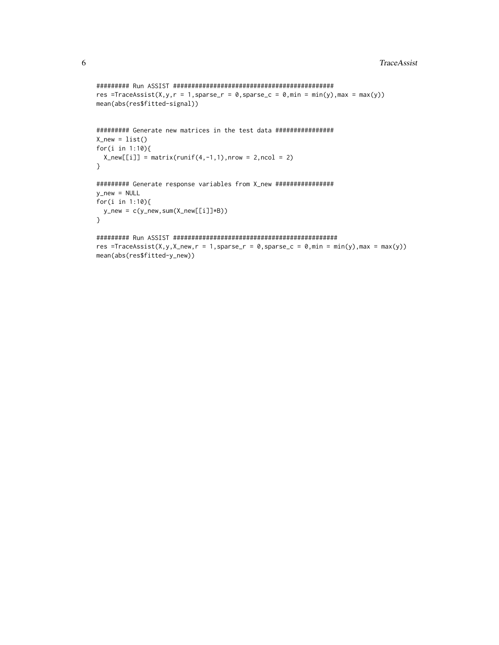```
######### Run ASSIST ############################################
res =TraceAssist(X,y,r = 1,sparse_r = 0,sparse_c = 0,min = min(y),max = max(y))
mean(abs(res$fitted-signal))
######### Generate new matrices in the test data ################
X_new = list()for(i in 1:10){
 X_new[[i]] = matrix(runif(4,-1,1),nrow = 2,ncol = 2)}
######### Generate response variables from X_new ################
y_new = NULL
for(i in 1:10){
 y_new = c(y_new,sum(X_new[[i]]*B))
}
######### Run ASSIST #############################################
res =TraceAssist(X,y,X_new,r = 1,sparse_r = 0,sparse_c = 0,min = min(y),max = max(y))
mean(abs(res$fitted-y_new))
```